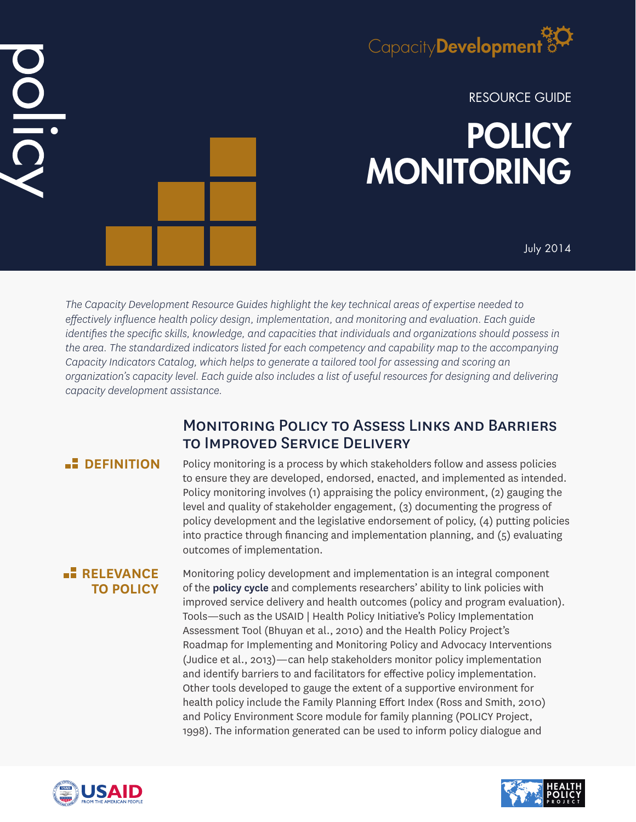

RESOURCE GUIDE

# **POLICY** MONITORING

July 2014

*The Capacity Development Resource Guides highlight the key technical areas of expertise needed to effectively influence health policy design, implementation, and monitoring and evaluation. Each guide identifies the specific skills, knowledge, and capacities that individuals and organizations should possess in the area. The standardized indicators listed for each competency and capability map to the accompanying Capacity Indicators Catalog, which helps to generate a tailored tool for assessing and scoring an organization's capacity level. Each guide also includes a list of useful resources for designing and delivering capacity development assistance.*

# Monitoring Policy to Assess Links and Barriers to Improved Service Delivery

DID

**DEFINITION** Policy monitoring is a process by which stakeholders follow and assess policies to ensure they are developed, endorsed, enacted, and implemented as intended. Policy monitoring involves (1) appraising the policy environment, (2) gauging the level and quality of stakeholder engagement, (3) documenting the progress of policy development and the legislative endorsement of policy, (4) putting policies into practice through financing and implementation planning, and (5) evaluating outcomes of implementation.

## **RELEVANCE TO POLICY**

Monitoring policy development and implementation is an integral component of the **policy cycle** and complements researchers' ability to link policies with improved service delivery and health outcomes (policy and program evaluation). Tools—such as the USAID | Health Policy Initiative's Policy Implementation Assessment Tool (Bhuyan et al., 2010) and the Health Policy Project's Roadmap for Implementing and Monitoring Policy and Advocacy Interventions (Judice et al., 2013)—can help stakeholders monitor policy implementation and identify barriers to and facilitators for effective policy implementation. Other tools developed to gauge the extent of a supportive environment for health policy include the Family Planning Effort Index (Ross and Smith, 2010) and Policy Environment Score module for family planning (POLICY Project, 1998). The information generated can be used to inform policy dialogue and



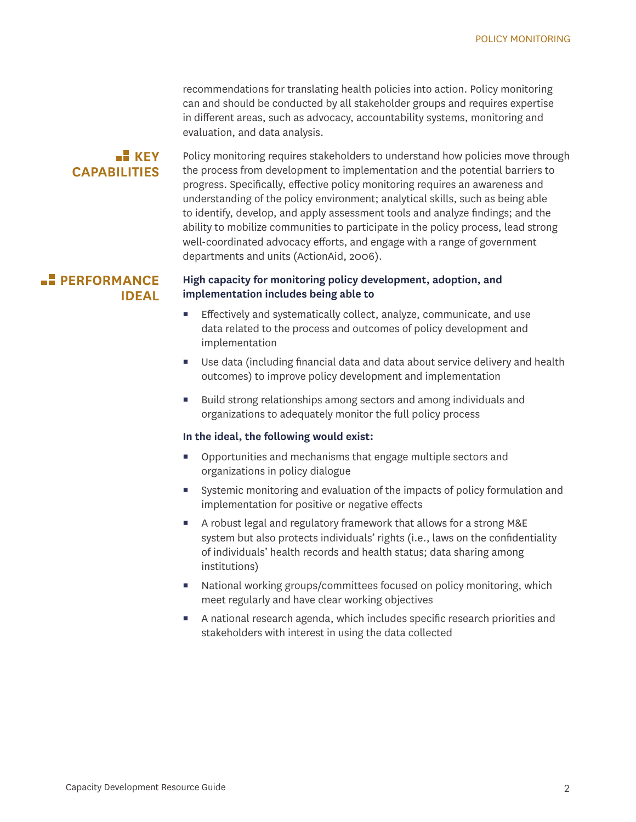recommendations for translating health policies into action. Policy monitoring can and should be conducted by all stakeholder groups and requires expertise in different areas, such as advocacy, accountability systems, monitoring and evaluation, and data analysis.

#### $K$ **KEY CAPABILITIES**

Policy monitoring requires stakeholders to understand how policies move through the process from development to implementation and the potential barriers to progress. Specifically, effective policy monitoring requires an awareness and understanding of the policy environment; analytical skills, such as being able to identify, develop, and apply assessment tools and analyze findings; and the ability to mobilize communities to participate in the policy process, lead strong well-coordinated advocacy efforts, and engage with a range of government departments and units (ActionAid, 2006).

## **PERFORMANCE IDEAL**

#### **High capacity for monitoring policy development, adoption, and implementation includes being able to**

- **Effectively and systematically collect, analyze, communicate, and use** data related to the process and outcomes of policy development and implementation
- Use data (including financial data and data about service delivery and health outcomes) to improve policy development and implementation
- Build strong relationships among sectors and among individuals and organizations to adequately monitor the full policy process

#### **In the ideal, the following would exist:**

- Opportunities and mechanisms that engage multiple sectors and organizations in policy dialogue
- Systemic monitoring and evaluation of the impacts of policy formulation and implementation for positive or negative effects
- A robust legal and regulatory framework that allows for a strong M&E system but also protects individuals' rights (i.e., laws on the confidentiality of individuals' health records and health status; data sharing among institutions)
- National working groups/committees focused on policy monitoring, which meet regularly and have clear working objectives
- A national research agenda, which includes specific research priorities and stakeholders with interest in using the data collected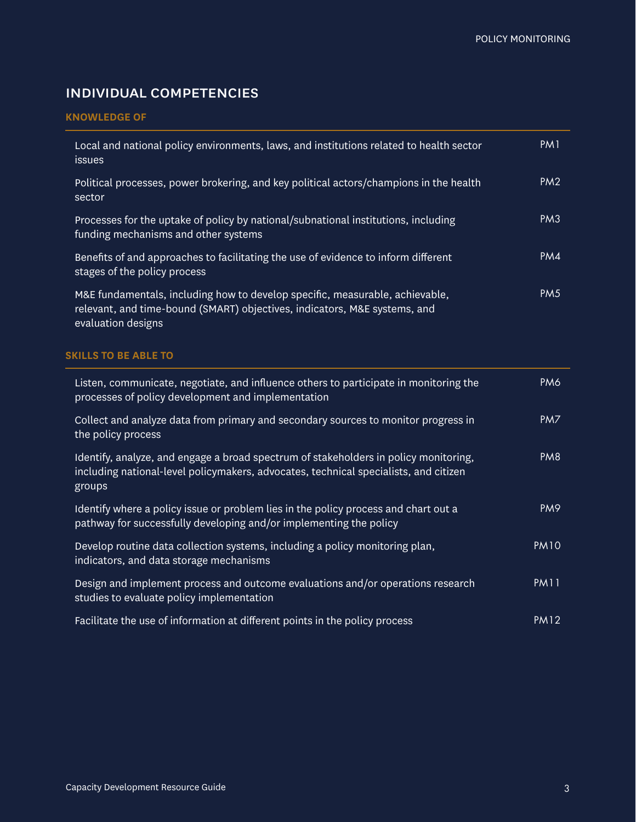# individual competencies

#### **KNOWLEDGE OF**

| Local and national policy environments, laws, and institutions related to health sector<br><i>issues</i>                                                                        | PM <sub>1</sub> |
|---------------------------------------------------------------------------------------------------------------------------------------------------------------------------------|-----------------|
| Political processes, power brokering, and key political actors/champions in the health<br>sector                                                                                | PM <sub>2</sub> |
| Processes for the uptake of policy by national/subnational institutions, including<br>funding mechanisms and other systems                                                      | PM <sub>3</sub> |
| Benefits of and approaches to facilitating the use of evidence to inform different<br>stages of the policy process                                                              | PM4             |
| M&E fundamentals, including how to develop specific, measurable, achievable,<br>relevant, and time-bound (SMART) objectives, indicators, M&E systems, and<br>evaluation designs | PM <sub>5</sub> |

#### **SKILLS TO BE ABLE TO**

| Listen, communicate, negotiate, and influence others to participate in monitoring the<br>processes of policy development and implementation                                            | PM6             |
|----------------------------------------------------------------------------------------------------------------------------------------------------------------------------------------|-----------------|
| Collect and analyze data from primary and secondary sources to monitor progress in<br>the policy process                                                                               | PM7             |
| Identify, analyze, and engage a broad spectrum of stakeholders in policy monitoring,<br>including national-level policymakers, advocates, technical specialists, and citizen<br>groups | PM <sub>8</sub> |
| Identify where a policy issue or problem lies in the policy process and chart out a<br>pathway for successfully developing and/or implementing the policy                              | PM <sub>9</sub> |
| Develop routine data collection systems, including a policy monitoring plan,<br>indicators, and data storage mechanisms                                                                | <b>PM10</b>     |
| Design and implement process and outcome evaluations and/or operations research<br>studies to evaluate policy implementation                                                           | <b>PM11</b>     |
| Facilitate the use of information at different points in the policy process                                                                                                            | <b>PM12</b>     |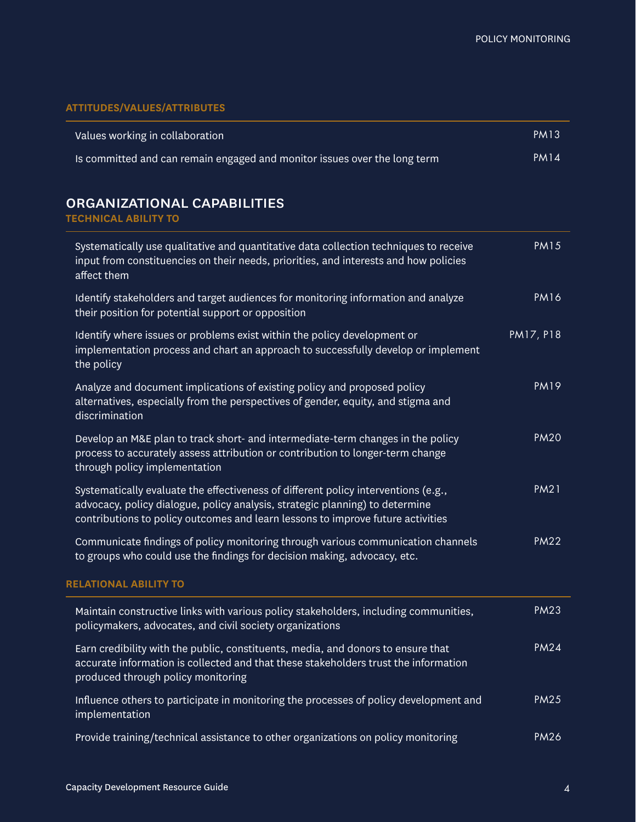#### **ATTITUDES/VALUES/ATTRIBUTES**

| Values working in collaboration                                           | PM13   |
|---------------------------------------------------------------------------|--------|
| Is committed and can remain engaged and monitor issues over the long term | PM 14' |

# organizational capabilities

#### **TECHNICAL ABILITY TO**

| Systematically use qualitative and quantitative data collection techniques to receive<br>input from constituencies on their needs, priorities, and interests and how policies<br>affect them                                                          | <b>PM15</b> |
|-------------------------------------------------------------------------------------------------------------------------------------------------------------------------------------------------------------------------------------------------------|-------------|
| Identify stakeholders and target audiences for monitoring information and analyze<br>their position for potential support or opposition                                                                                                               | <b>PM16</b> |
| Identify where issues or problems exist within the policy development or<br>implementation process and chart an approach to successfully develop or implement<br>the policy                                                                           | PM17, P18   |
| Analyze and document implications of existing policy and proposed policy<br>alternatives, especially from the perspectives of gender, equity, and stigma and<br>discrimination                                                                        | <b>PM19</b> |
| Develop an M&E plan to track short- and intermediate-term changes in the policy<br>process to accurately assess attribution or contribution to longer-term change<br>through policy implementation                                                    | <b>PM20</b> |
| Systematically evaluate the effectiveness of different policy interventions (e.g.,<br>advocacy, policy dialogue, policy analysis, strategic planning) to determine<br>contributions to policy outcomes and learn lessons to improve future activities | <b>PM21</b> |
| Communicate findings of policy monitoring through various communication channels<br>to groups who could use the findings for decision making, advocacy, etc.                                                                                          | <b>PM22</b> |
| <b>RELATIONAL ABILITY TO</b>                                                                                                                                                                                                                          |             |
| Maintain constructive links with various policy stakeholders, including communities,<br>policymakers, advocates, and civil society organizations                                                                                                      | <b>PM23</b> |
| Earn credibility with the public, constituents, media, and donors to ensure that<br>accurate information is collected and that these stakeholders trust the information<br>produced through policy monitoring                                         | <b>PM24</b> |
| Influence others to participate in monitoring the processes of policy development and<br>implementation                                                                                                                                               | <b>PM25</b> |
| Provide training/technical assistance to other organizations on policy monitoring                                                                                                                                                                     | <b>PM26</b> |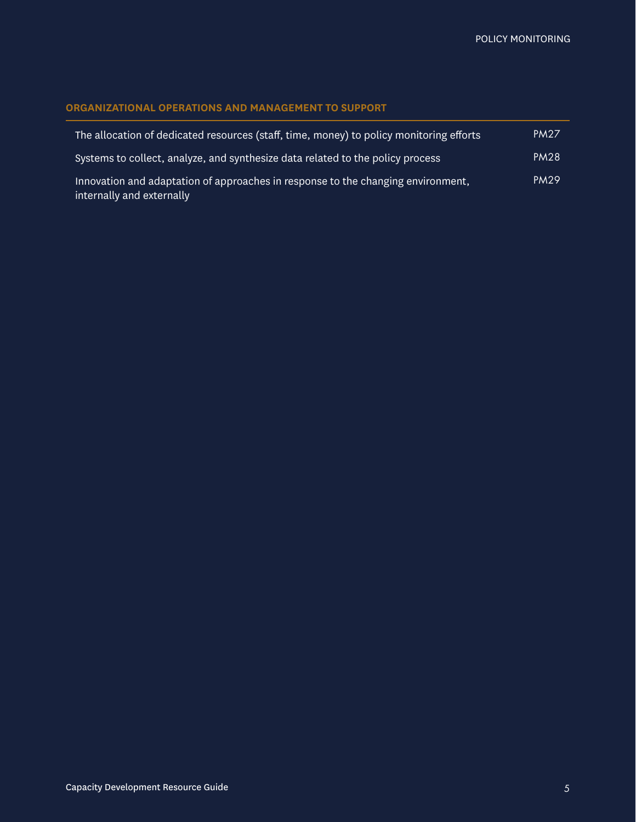#### **ORGANIZATIONAL OPERATIONS AND MANAGEMENT TO SUPPORT**

| The allocation of dedicated resources (staff, time, money) to policy monitoring efforts                       | <b>PM27</b> |
|---------------------------------------------------------------------------------------------------------------|-------------|
| Systems to collect, analyze, and synthesize data related to the policy process                                | <b>PM28</b> |
| Innovation and adaptation of approaches in response to the changing environment,<br>internally and externally | <b>PM29</b> |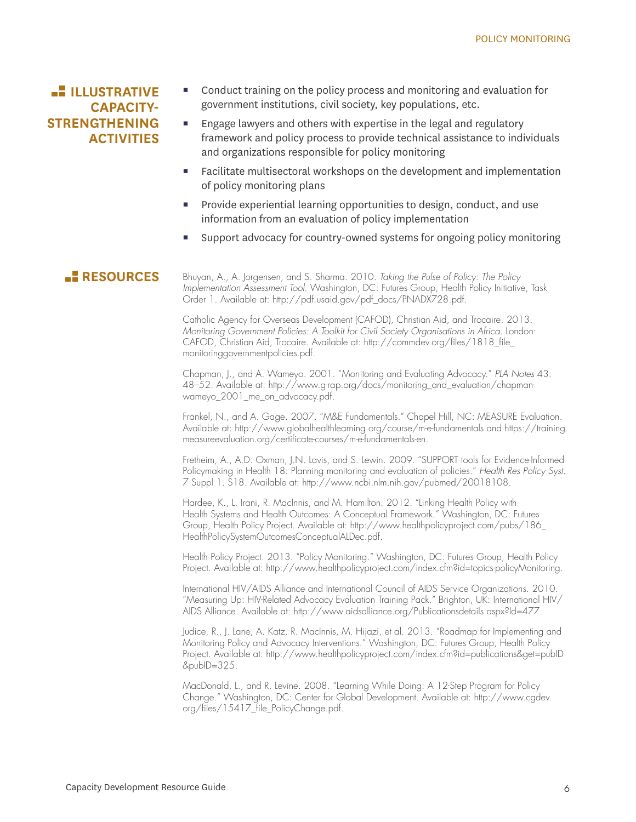## **ILLUSTRATIVE CAPACITY-STRENGTHENING ACTIVITIES**

- Conduct training on the policy process and monitoring and evaluation for government institutions, civil society, key populations, etc.
- Engage lawyers and others with expertise in the legal and regulatory framework and policy process to provide technical assistance to individuals and organizations responsible for policy monitoring
- Facilitate multisectoral workshops on the development and implementation of policy monitoring plans
- **Provide experiential learning opportunities to design, conduct, and use** information from an evaluation of policy implementation
- Support advocacy for country-owned systems for ongoing policy monitoring

**RESOURCES** Bhuyan, A., A. Jorgensen, and S. Sharma. 2010. *Taking the Pulse of Policy: The Policy Implementation Assessment Tool*. Washington, DC: Futures Group, Health Policy Initiative, Task Order 1. Available at: http://pdf.usaid.gov/pdf\_docs/PNADX728.pdf.

> Catholic Agency for Overseas Development (CAFOD), Christian Aid, and Trocaire. 2013. *Monitoring Government Policies: A Toolkit for Civil Society Organisations in Africa*. London: CAFOD, Christian Aid, Trocaire. Available at: http://commdev.org/files/1818\_file\_ monitoringgovernmentpolicies.pdf.

Chapman, J., and A. Wameyo. 2001. "Monitoring and Evaluating Advocacy." *PLA Notes* 43: 48–52. Available at: http://www.g-rap.org/docs/monitoring\_and\_evaluation/chapmanwameyo\_2001\_me\_on\_advocacy.pdf.

Frankel, N., and A. Gage. 2007. "M&E Fundamentals." Chapel Hill, NC: MEASURE Evaluation. Available at: http://www.globalhealthlearning.org/course/m-e-fundamentals and https://training. measureevaluation.org/certificate-courses/m-e-fundamentals-en.

Fretheim, A., A.D. Oxman, J.N. Lavis, and S. Lewin. 2009. "SUPPORT tools for Evidence-Informed Policymaking in Health 18: Planning monitoring and evaluation of policies." *Health Res Policy Syst.*  7 Suppl 1. S18. Available at: http://www.ncbi.nlm.nih.gov/pubmed/20018108.

Hardee, K., L. Irani, R. MacInnis, and M. Hamilton. 2012. "Linking Health Policy with Health Systems and Health Outcomes: A Conceptual Framework." Washington, DC: Futures Group, Health Policy Project. Available at: http://www.healthpolicyproject.com/pubs/186\_ HealthPolicySystemOutcomesConceptualALDec.pdf.

Health Policy Project. 2013. "Policy Monitoring." Washington, DC: Futures Group, Health Policy Project. Available at: http://www.healthpolicyproject.com/index.cfm?id=topics-policyMonitoring.

International HIV/AIDS Alliance and International Council of AIDS Service Organizations. 2010. "Measuring Up: HIV-Related Advocacy Evaluation Training Pack." Brighton, UK: International HIV/ AIDS Alliance. Available at: http://www.aidsalliance.org/Publicationsdetails.aspx?Id=477.

Judice, R., J. Lane, A. Katz, R. MacInnis, M. Hijazi, et al. 2013. "Roadmap for Implementing and Monitoring Policy and Advocacy Interventions." Washington, DC: Futures Group, Health Policy Project. Available at: http://www.healthpolicyproject.com/index.cfm?id=publications&get=pubID  $&$ pubID= $325.$ 

MacDonald, L., and R. Levine. 2008. "Learning While Doing: A 12-Step Program for Policy Change." Washington, DC: Center for Global Development. Available at: http://www.cgdev. org/files/15417\_file\_PolicyChange.pdf.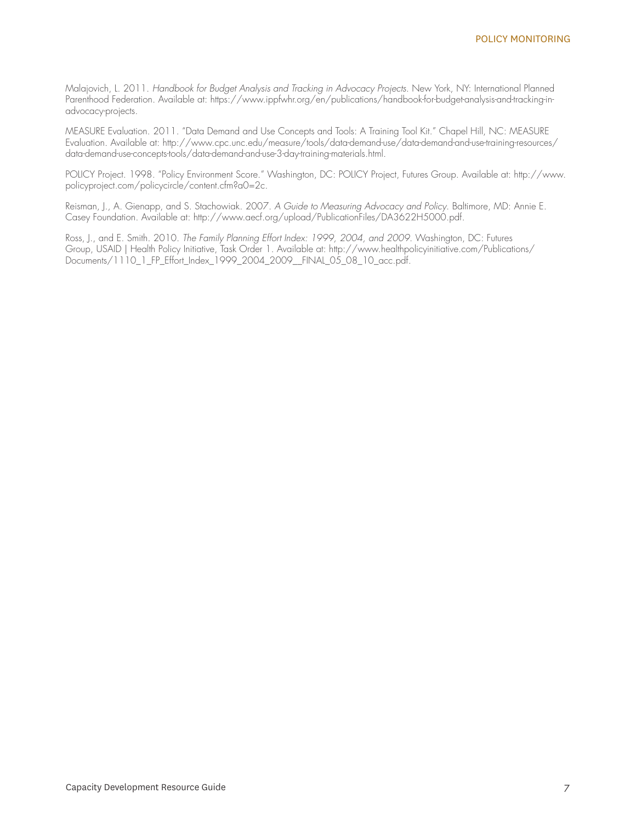Malajovich, L. 2011. *Handbook for Budget Analysis and Tracking in Advocacy Projects*. New York, NY: International Planned Parenthood Federation. Available at: https://www.ippfwhr.org/en/publications/handbook-for-budget-analysis-and-tracking-inadvocacy-projects.

MEASURE Evaluation. 2011. "Data Demand and Use Concepts and Tools: A Training Tool Kit." Chapel Hill, NC: MEASURE Evaluation. Available at: http://www.cpc.unc.edu/measure/tools/data-demand-use/data-demand-and-use-training-resources/ data-demand-use-concepts-tools/data-demand-and-use-3-day-training-materials.html.

POLICY Project. 1998. "Policy Environment Score." Washington, DC: POLICY Project, Futures Group. Available at: http://www. policyproject.com/policycircle/content.cfm?a0=2c.

Reisman, J., A. Gienapp, and S. Stachowiak. 2007. *A Guide to Measuring Advocacy and Policy*. Baltimore, MD: Annie E. Casey Foundation. Available at: http://www.aecf.org/upload/PublicationFiles/DA3622H5000.pdf.

Ross, J., and E. Smith. 2010. *The Family Planning Effort Index: 1999, 2004, and 2009*. Washington, DC: Futures Group, USAID | Health Policy Initiative, Task Order 1. Available at: http://www.healthpolicyinitiative.com/Publications/ Documents/1110\_1\_FP\_Effort\_Index\_1999\_2004\_2009\_\_FINAL\_05\_08\_10\_acc.pdf.